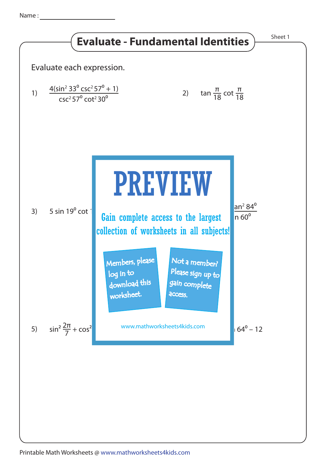